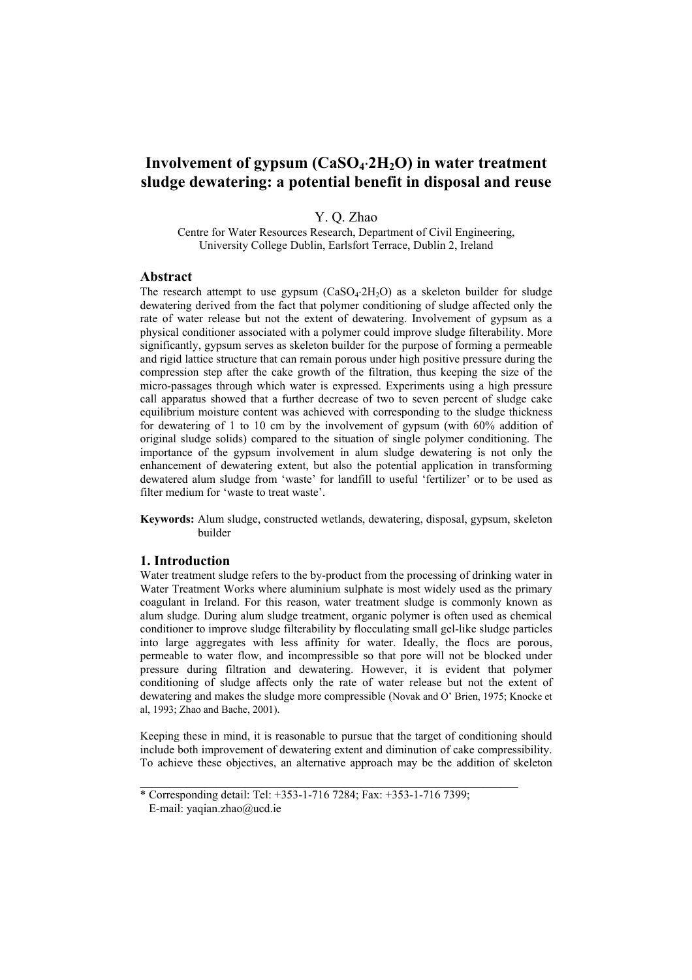# **Involvement of gypsum (CaSO4**⋅**2H2O) in water treatment sludge dewatering: a potential benefit in disposal and reuse**

Y. Q. Zhao

Centre for Water Resources Research, Department of Civil Engineering, University College Dublin, Earlsfort Terrace, Dublin 2, Ireland

## **Abstract**

The research attempt to use gypsum  $(CaSO_4·2H_2O)$  as a skeleton builder for sludge dewatering derived from the fact that polymer conditioning of sludge affected only the rate of water release but not the extent of dewatering. Involvement of gypsum as a physical conditioner associated with a polymer could improve sludge filterability. More significantly, gypsum serves as skeleton builder for the purpose of forming a permeable and rigid lattice structure that can remain porous under high positive pressure during the compression step after the cake growth of the filtration, thus keeping the size of the micro-passages through which water is expressed. Experiments using a high pressure call apparatus showed that a further decrease of two to seven percent of sludge cake equilibrium moisture content was achieved with corresponding to the sludge thickness for dewatering of 1 to 10 cm by the involvement of gypsum (with 60% addition of original sludge solids) compared to the situation of single polymer conditioning. The importance of the gypsum involvement in alum sludge dewatering is not only the enhancement of dewatering extent, but also the potential application in transforming dewatered alum sludge from 'waste' for landfill to useful 'fertilizer' or to be used as filter medium for 'waste to treat waste'.

**Keywords:** Alum sludge, constructed wetlands, dewatering, disposal, gypsum, skeleton builder

#### **1. Introduction**

Water treatment sludge refers to the by-product from the processing of drinking water in Water Treatment Works where aluminium sulphate is most widely used as the primary coagulant in Ireland. For this reason, water treatment sludge is commonly known as alum sludge. During alum sludge treatment, organic polymer is often used as chemical conditioner to improve sludge filterability by flocculating small gel-like sludge particles into large aggregates with less affinity for water. Ideally, the flocs are porous, permeable to water flow, and incompressible so that pore will not be blocked under pressure during filtration and dewatering. However, it is evident that polymer conditioning of sludge affects only the rate of water release but not the extent of dewatering and makes the sludge more compressible (Novak and O' Brien, 1975; Knocke et al, 1993; Zhao and Bache, 2001).

Keeping these in mind, it is reasonable to pursue that the target of conditioning should include both improvement of dewatering extent and diminution of cake compressibility. To achieve these objectives, an alternative approach may be the addition of skeleton

 $\_$  , and the set of the set of the set of the set of the set of the set of the set of the set of the set of the set of the set of the set of the set of the set of the set of the set of the set of the set of the set of th

<sup>\*</sup> Corresponding detail: Tel: +353-1-716 7284; Fax: +353-1-716 7399; E-mail: yaqian.zhao@ucd.ie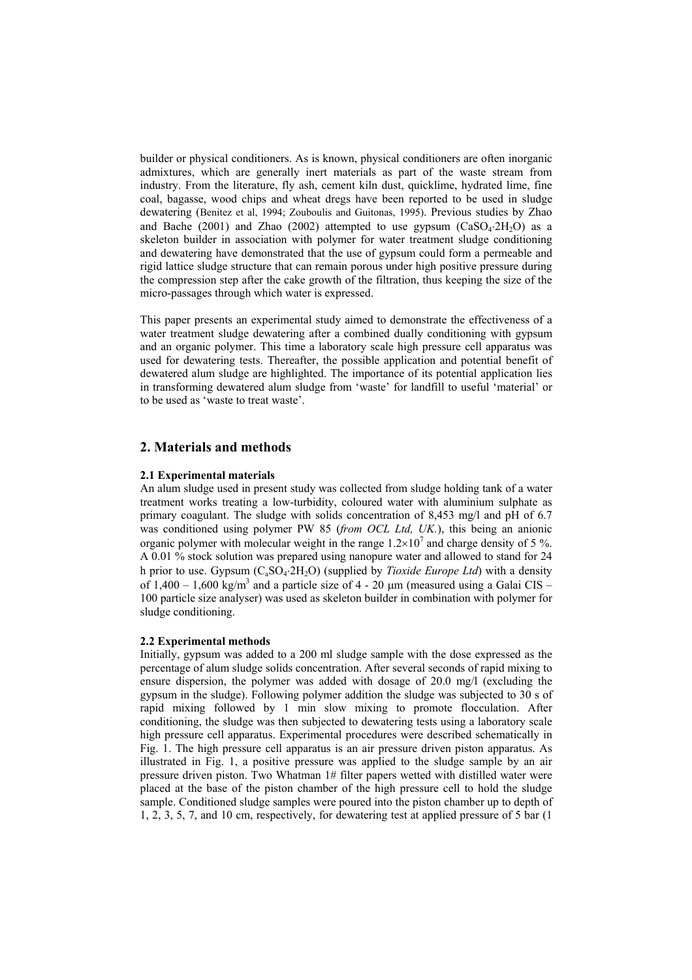builder or physical conditioners. As is known, physical conditioners are often inorganic admixtures, which are generally inert materials as part of the waste stream from industry. From the literature, fly ash, cement kiln dust, quicklime, hydrated lime, fine coal, bagasse, wood chips and wheat dregs have been reported to be used in sludge dewatering (Benitez et al, 1994; Zouboulis and Guitonas, 1995). Previous studies by Zhao and Bache (2001) and Zhao (2002) attempted to use gypsum ( $CaSO_4.2H_2O$ ) as a skeleton builder in association with polymer for water treatment sludge conditioning and dewatering have demonstrated that the use of gypsum could form a permeable and rigid lattice sludge structure that can remain porous under high positive pressure during the compression step after the cake growth of the filtration, thus keeping the size of the micro-passages through which water is expressed.

This paper presents an experimental study aimed to demonstrate the effectiveness of a water treatment sludge dewatering after a combined dually conditioning with gypsum and an organic polymer. This time a laboratory scale high pressure cell apparatus was used for dewatering tests. Thereafter, the possible application and potential benefit of dewatered alum sludge are highlighted. The importance of its potential application lies in transforming dewatered alum sludge from 'waste' for landfill to useful 'material' or to be used as 'waste to treat waste'.

## **2. Materials and methods**

#### **2.1 Experimental materials**

An alum sludge used in present study was collected from sludge holding tank of a water treatment works treating a low-turbidity, coloured water with aluminium sulphate as primary coagulant. The sludge with solids concentration of 8,453 mg/l and pH of 6.7 was conditioned using polymer PW 85 (*from OCL Ltd, UK.*), this being an anionic organic polymer with molecular weight in the range  $1.2 \times 10^7$  and charge density of 5 %. A 0.01 % stock solution was prepared using nanopure water and allowed to stand for 24 h prior to use. Gypsum (CaSO4⋅2H2O) (supplied by *Tioxide Europe Ltd*) with a density of 1,400 – 1,600 kg/m<sup>3</sup> and a particle size of 4 - 20  $\mu$ m (measured using a Galai CIS – 100 particle size analyser) was used as skeleton builder in combination with polymer for sludge conditioning.

#### **2.2 Experimental methods**

Initially, gypsum was added to a 200 ml sludge sample with the dose expressed as the percentage of alum sludge solids concentration. After several seconds of rapid mixing to ensure dispersion, the polymer was added with dosage of 20.0 mg/l (excluding the gypsum in the sludge). Following polymer addition the sludge was subjected to 30 s of rapid mixing followed by 1 min slow mixing to promote flocculation. After conditioning, the sludge was then subjected to dewatering tests using a laboratory scale high pressure cell apparatus. Experimental procedures were described schematically in Fig. 1. The high pressure cell apparatus is an air pressure driven piston apparatus. As illustrated in Fig. 1, a positive pressure was applied to the sludge sample by an air pressure driven piston. Two Whatman 1# filter papers wetted with distilled water were placed at the base of the piston chamber of the high pressure cell to hold the sludge sample. Conditioned sludge samples were poured into the piston chamber up to depth of 1, 2, 3, 5, 7, and 10 cm, respectively, for dewatering test at applied pressure of 5 bar (1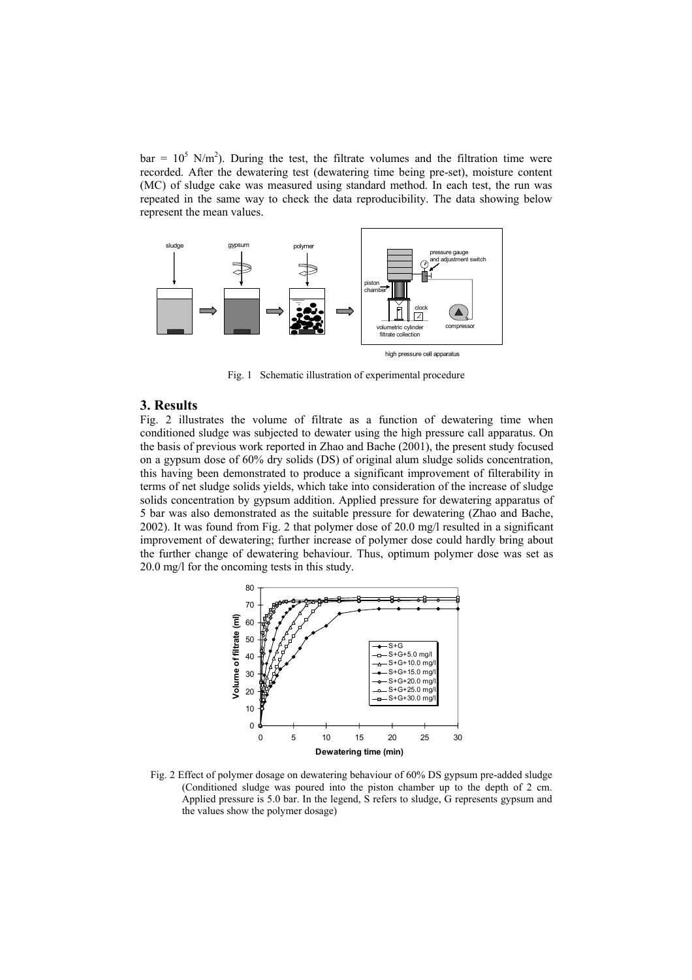$bar = 10^5$  N/m<sup>2</sup>). During the test, the filtrate volumes and the filtration time were recorded. After the dewatering test (dewatering time being pre-set), moisture content (MC) of sludge cake was measured using standard method. In each test, the run was repeated in the same way to check the data reproducibility. The data showing below represent the mean values.



Fig. 1 Schematic illustration of experimental procedure

## **3. Results**

Fig. 2 illustrates the volume of filtrate as a function of dewatering time when conditioned sludge was subjected to dewater using the high pressure call apparatus. On the basis of previous work reported in Zhao and Bache (2001), the present study focused on a gypsum dose of 60% dry solids (DS) of original alum sludge solids concentration, this having been demonstrated to produce a significant improvement of filterability in terms of net sludge solids yields, which take into consideration of the increase of sludge solids concentration by gypsum addition. Applied pressure for dewatering apparatus of 5 bar was also demonstrated as the suitable pressure for dewatering (Zhao and Bache, 2002). It was found from Fig. 2 that polymer dose of 20.0 mg/l resulted in a significant improvement of dewatering; further increase of polymer dose could hardly bring about the further change of dewatering behaviour. Thus, optimum polymer dose was set as 20.0 mg/l for the oncoming tests in this study.



Fig. 2 Effect of polymer dosage on dewatering behaviour of 60% DS gypsum pre-added sludge (Conditioned sludge was poured into the piston chamber up to the depth of 2 cm. Applied pressure is 5.0 bar. In the legend, S refers to sludge, G represents gypsum and the values show the polymer dosage)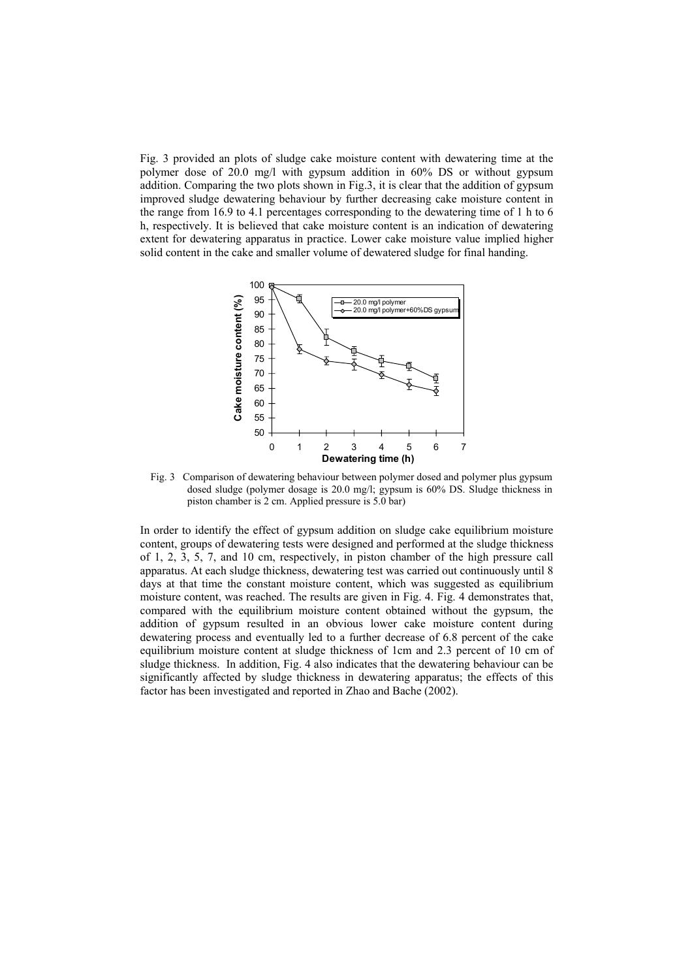Fig. 3 provided an plots of sludge cake moisture content with dewatering time at the polymer dose of 20.0 mg/l with gypsum addition in 60% DS or without gypsum addition. Comparing the two plots shown in Fig.3, it is clear that the addition of gypsum improved sludge dewatering behaviour by further decreasing cake moisture content in the range from 16.9 to 4.1 percentages corresponding to the dewatering time of 1 h to 6 h, respectively. It is believed that cake moisture content is an indication of dewatering extent for dewatering apparatus in practice. Lower cake moisture value implied higher solid content in the cake and smaller volume of dewatered sludge for final handing.



 Fig. 3 Comparison of dewatering behaviour between polymer dosed and polymer plus gypsum dosed sludge (polymer dosage is 20.0 mg/l; gypsum is 60% DS. Sludge thickness in piston chamber is 2 cm. Applied pressure is 5.0 bar)

In order to identify the effect of gypsum addition on sludge cake equilibrium moisture content, groups of dewatering tests were designed and performed at the sludge thickness of 1, 2, 3, 5, 7, and 10 cm, respectively, in piston chamber of the high pressure call apparatus. At each sludge thickness, dewatering test was carried out continuously until 8 days at that time the constant moisture content, which was suggested as equilibrium moisture content, was reached. The results are given in Fig. 4. Fig. 4 demonstrates that, compared with the equilibrium moisture content obtained without the gypsum, the addition of gypsum resulted in an obvious lower cake moisture content during dewatering process and eventually led to a further decrease of 6.8 percent of the cake equilibrium moisture content at sludge thickness of 1cm and 2.3 percent of 10 cm of sludge thickness. In addition, Fig. 4 also indicates that the dewatering behaviour can be significantly affected by sludge thickness in dewatering apparatus; the effects of this factor has been investigated and reported in Zhao and Bache (2002).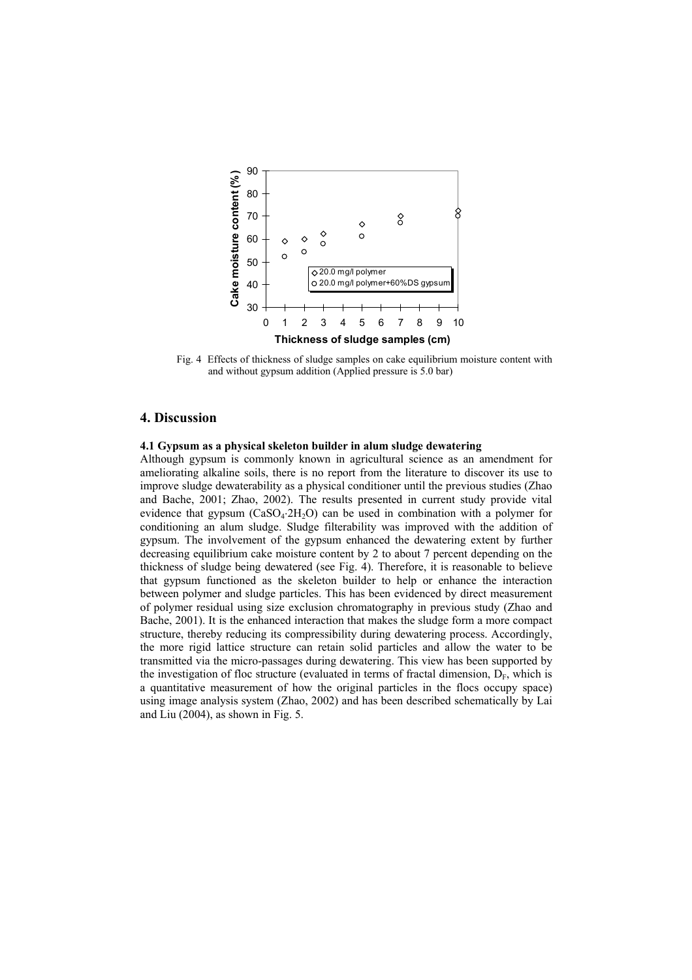

 Fig. 4 Effects of thickness of sludge samples on cake equilibrium moisture content with and without gypsum addition (Applied pressure is 5.0 bar)

# **4. Discussion**

### **4.1 Gypsum as a physical skeleton builder in alum sludge dewatering**

Although gypsum is commonly known in agricultural science as an amendment for ameliorating alkaline soils, there is no report from the literature to discover its use to improve sludge dewaterability as a physical conditioner until the previous studies (Zhao and Bache, 2001; Zhao, 2002). The results presented in current study provide vital evidence that gypsum ( $CaSO_4.2H_2O$ ) can be used in combination with a polymer for conditioning an alum sludge. Sludge filterability was improved with the addition of gypsum. The involvement of the gypsum enhanced the dewatering extent by further decreasing equilibrium cake moisture content by 2 to about 7 percent depending on the thickness of sludge being dewatered (see Fig. 4). Therefore, it is reasonable to believe that gypsum functioned as the skeleton builder to help or enhance the interaction between polymer and sludge particles. This has been evidenced by direct measurement of polymer residual using size exclusion chromatography in previous study (Zhao and Bache, 2001). It is the enhanced interaction that makes the sludge form a more compact structure, thereby reducing its compressibility during dewatering process. Accordingly, the more rigid lattice structure can retain solid particles and allow the water to be transmitted via the micro-passages during dewatering. This view has been supported by the investigation of floc structure (evaluated in terms of fractal dimension,  $D_F$ , which is a quantitative measurement of how the original particles in the flocs occupy space) using image analysis system (Zhao, 2002) and has been described schematically by Lai and Liu (2004), as shown in Fig. 5.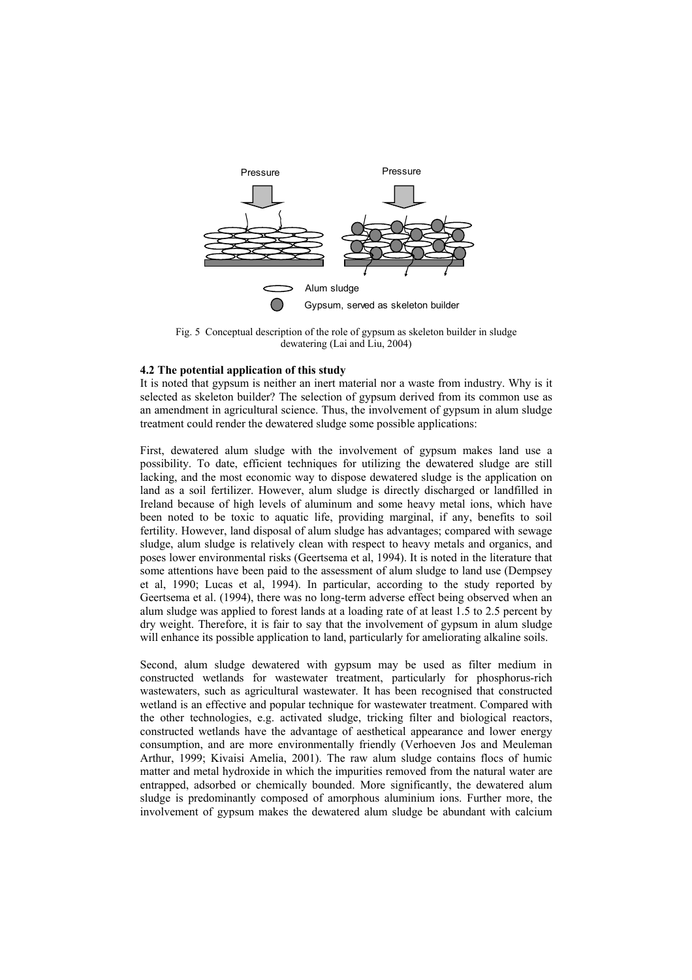

Fig. 5 Conceptual description of the role of gypsum as skeleton builder in sludge dewatering (Lai and Liu, 2004)

#### **4.2 The potential application of this study**

It is noted that gypsum is neither an inert material nor a waste from industry. Why is it selected as skeleton builder? The selection of gypsum derived from its common use as an amendment in agricultural science. Thus, the involvement of gypsum in alum sludge treatment could render the dewatered sludge some possible applications:

First, dewatered alum sludge with the involvement of gypsum makes land use a possibility. To date, efficient techniques for utilizing the dewatered sludge are still lacking, and the most economic way to dispose dewatered sludge is the application on land as a soil fertilizer. However, alum sludge is directly discharged or landfilled in Ireland because of high levels of aluminum and some heavy metal ions, which have been noted to be toxic to aquatic life, providing marginal, if any, benefits to soil fertility. However, land disposal of alum sludge has advantages; compared with sewage sludge, alum sludge is relatively clean with respect to heavy metals and organics, and poses lower environmental risks (Geertsema et al, 1994). It is noted in the literature that some attentions have been paid to the assessment of alum sludge to land use (Dempsey et al, 1990; Lucas et al, 1994). In particular, according to the study reported by Geertsema et al. (1994), there was no long-term adverse effect being observed when an alum sludge was applied to forest lands at a loading rate of at least 1.5 to 2.5 percent by dry weight. Therefore, it is fair to say that the involvement of gypsum in alum sludge will enhance its possible application to land, particularly for ameliorating alkaline soils.

Second, alum sludge dewatered with gypsum may be used as filter medium in constructed wetlands for wastewater treatment, particularly for phosphorus-rich wastewaters, such as agricultural wastewater. It has been recognised that constructed wetland is an effective and popular technique for wastewater treatment. Compared with the other technologies, e.g. activated sludge, tricking filter and biological reactors, constructed wetlands have the advantage of aesthetical appearance and lower energy consumption, and are more environmentally friendly (Verhoeven Jos and Meuleman Arthur, 1999; Kivaisi Amelia, 2001). The raw alum sludge contains flocs of humic matter and metal hydroxide in which the impurities removed from the natural water are entrapped, adsorbed or chemically bounded. More significantly, the dewatered alum sludge is predominantly composed of amorphous aluminium ions. Further more, the involvement of gypsum makes the dewatered alum sludge be abundant with calcium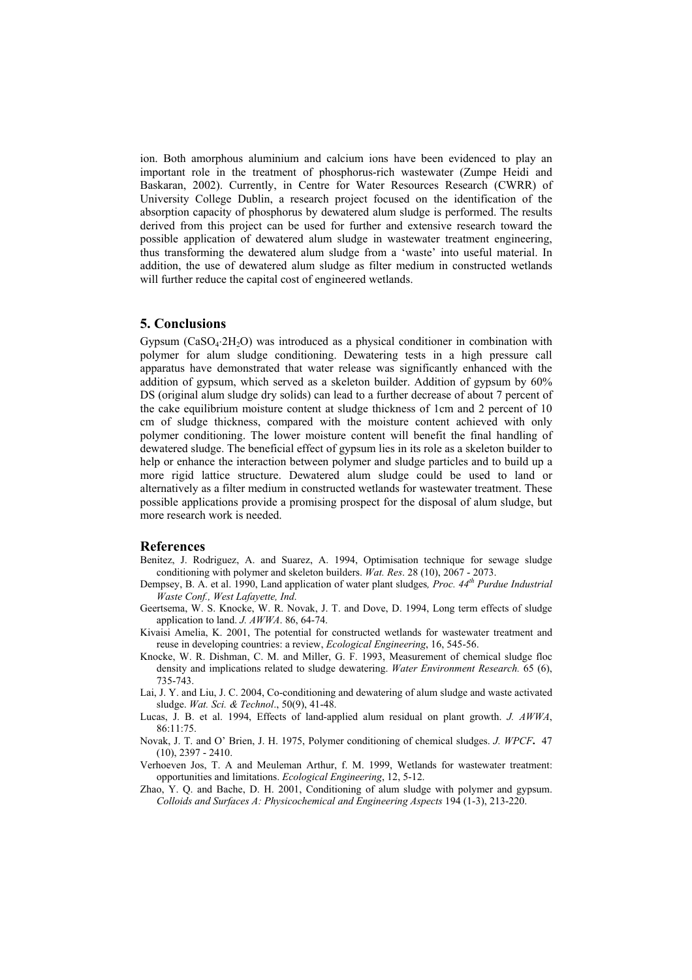ion. Both amorphous aluminium and calcium ions have been evidenced to play an important role in the treatment of phosphorus-rich wastewater (Zumpe Heidi and Baskaran, 2002). Currently, in Centre for Water Resources Research (CWRR) of University College Dublin, a research project focused on the identification of the absorption capacity of phosphorus by dewatered alum sludge is performed. The results derived from this project can be used for further and extensive research toward the possible application of dewatered alum sludge in wastewater treatment engineering, thus transforming the dewatered alum sludge from a 'waste' into useful material. In addition, the use of dewatered alum sludge as filter medium in constructed wetlands will further reduce the capital cost of engineered wetlands.

## **5. Conclusions**

Gypsum ( $CaSO_4:2H_2O$ ) was introduced as a physical conditioner in combination with polymer for alum sludge conditioning. Dewatering tests in a high pressure call apparatus have demonstrated that water release was significantly enhanced with the addition of gypsum, which served as a skeleton builder. Addition of gypsum by 60% DS (original alum sludge dry solids) can lead to a further decrease of about 7 percent of the cake equilibrium moisture content at sludge thickness of 1cm and 2 percent of 10 cm of sludge thickness, compared with the moisture content achieved with only polymer conditioning. The lower moisture content will benefit the final handling of dewatered sludge. The beneficial effect of gypsum lies in its role as a skeleton builder to help or enhance the interaction between polymer and sludge particles and to build up a more rigid lattice structure. Dewatered alum sludge could be used to land or alternatively as a filter medium in constructed wetlands for wastewater treatment. These possible applications provide a promising prospect for the disposal of alum sludge, but more research work is needed.

#### **References**

- Benitez, J. Rodriguez, A. and Suarez, A. 1994, Optimisation technique for sewage sludge conditioning with polymer and skeleton builders. *Wat. Res*. 28 (10), 2067 - 2073.
- Dempsey, B. A. et al. 1990, Land application of water plant sludges, Proc. 44<sup>th</sup> Purdue Industrial *Waste Conf., West Lafayette, Ind*.
- Geertsema, W. S. Knocke, W. R. Novak, J. T. and Dove, D. 1994, Long term effects of sludge application to land. *J. AWWA*. 86, 64-74.
- Kivaisi Amelia, K. 2001, The potential for constructed wetlands for wastewater treatment and reuse in developing countries: a review, *Ecological Engineering*, 16, 545-56.
- Knocke, W. R. Dishman, C. M. and Miller, G. F. 1993, Measurement of chemical sludge floc density and implications related to sludge dewatering. *Water Environment Research.* 65 (6), 735-743.
- Lai, J. Y. and Liu, J. C. 2004, Co-conditioning and dewatering of alum sludge and waste activated sludge. *Wat. Sci. & Technol*., 50(9), 41-48.
- Lucas, J. B. et al. 1994, Effects of land-applied alum residual on plant growth. *J. AWWA*, 86:11:75.
- Novak, J. T. and O' Brien, J. H. 1975, Polymer conditioning of chemical sludges. *J. WPCF***.** 47  $(10)$ , 2397 - 2410.
- Verhoeven Jos, T. A and Meuleman Arthur, f. M. 1999, Wetlands for wastewater treatment: opportunities and limitations. *Ecological Engineering*, 12, 5-12.
- Zhao, Y. Q. and Bache, D. H. 2001, Conditioning of alum sludge with polymer and gypsum. *Colloids and Surfaces A: Physicochemical and Engineering Aspects* 194 (1-3), 213-220.